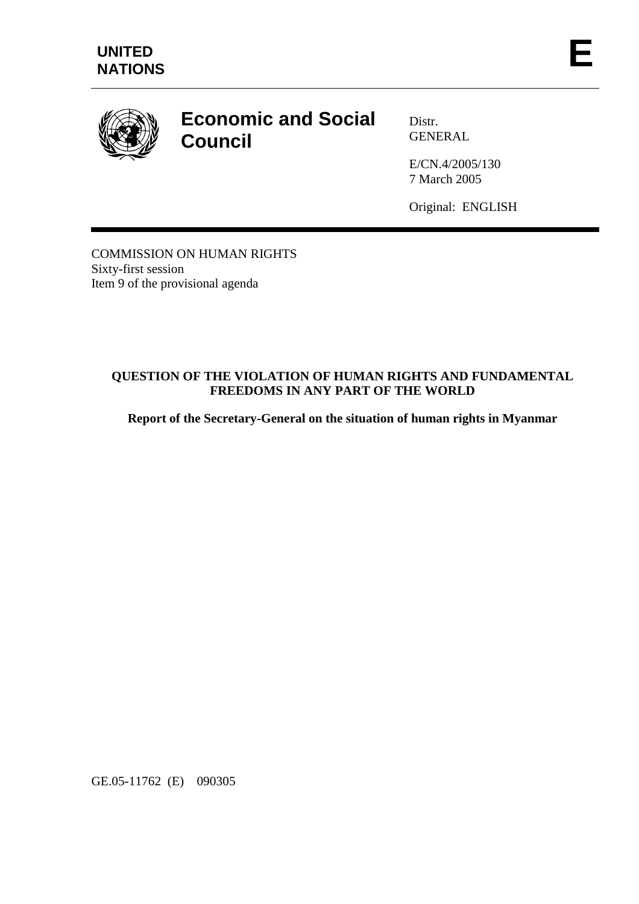

# **Economic and Social Council**

Distr. **GENERAL** 

E/CN.4/2005/130 7 March 2005

Original: ENGLISH

COMMISSION ON HUMAN RIGHTS Sixty-first session Item 9 of the provisional agenda

## **QUESTION OF THE VIOLATION OF HUMAN RIGHTS AND FUNDAMENTAL FREEDOMS IN ANY PART OF THE WORLD**

**Report of the Secretary-General on the situation of human rights in Myanmar** 

GE.05-11762 (E) 090305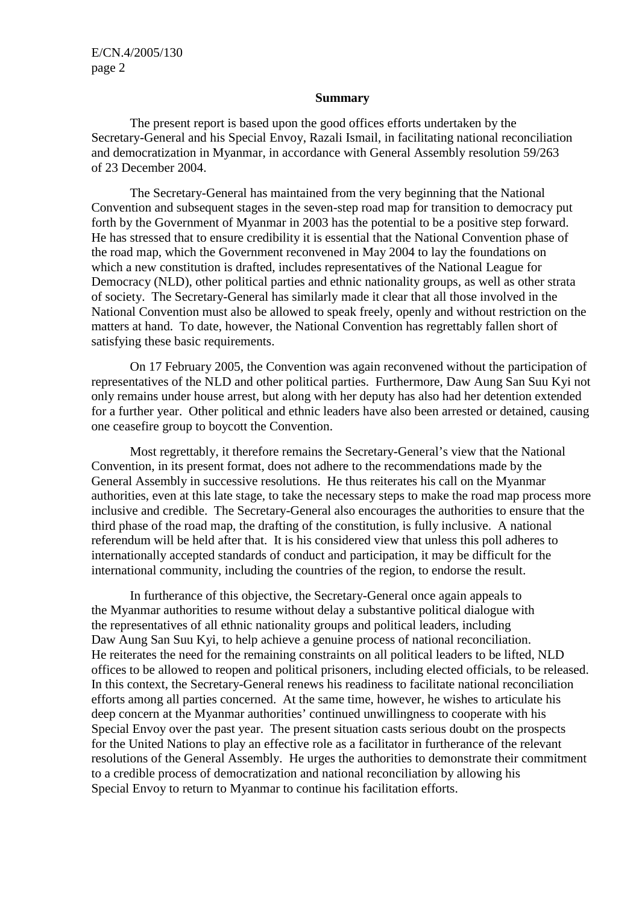E/CN.4/2005/130 page 2

#### **Summary**

 The present report is based upon the good offices efforts undertaken by the Secretary-General and his Special Envoy, Razali Ismail, in facilitating national reconciliation and democratization in Myanmar, in accordance with General Assembly resolution 59/263 of 23 December 2004.

 The Secretary-General has maintained from the very beginning that the National Convention and subsequent stages in the seven-step road map for transition to democracy put forth by the Government of Myanmar in 2003 has the potential to be a positive step forward. He has stressed that to ensure credibility it is essential that the National Convention phase of the road map, which the Government reconvened in May 2004 to lay the foundations on which a new constitution is drafted, includes representatives of the National League for Democracy (NLD), other political parties and ethnic nationality groups, as well as other strata of society. The Secretary-General has similarly made it clear that all those involved in the National Convention must also be allowed to speak freely, openly and without restriction on the matters at hand. To date, however, the National Convention has regrettably fallen short of satisfying these basic requirements.

 On 17 February 2005, the Convention was again reconvened without the participation of representatives of the NLD and other political parties. Furthermore, Daw Aung San Suu Kyi not only remains under house arrest, but along with her deputy has also had her detention extended for a further year. Other political and ethnic leaders have also been arrested or detained, causing one ceasefire group to boycott the Convention.

 Most regrettably, it therefore remains the Secretary-General's view that the National Convention, in its present format, does not adhere to the recommendations made by the General Assembly in successive resolutions. He thus reiterates his call on the Myanmar authorities, even at this late stage, to take the necessary steps to make the road map process more inclusive and credible. The Secretary-General also encourages the authorities to ensure that the third phase of the road map, the drafting of the constitution, is fully inclusive. A national referendum will be held after that. It is his considered view that unless this poll adheres to internationally accepted standards of conduct and participation, it may be difficult for the international community, including the countries of the region, to endorse the result.

 In furtherance of this objective, the Secretary-General once again appeals to the Myanmar authorities to resume without delay a substantive political dialogue with the representatives of all ethnic nationality groups and political leaders, including Daw Aung San Suu Kyi, to help achieve a genuine process of national reconciliation. He reiterates the need for the remaining constraints on all political leaders to be lifted, NLD offices to be allowed to reopen and political prisoners, including elected officials, to be released. In this context, the Secretary-General renews his readiness to facilitate national reconciliation efforts among all parties concerned. At the same time, however, he wishes to articulate his deep concern at the Myanmar authorities' continued unwillingness to cooperate with his Special Envoy over the past year. The present situation casts serious doubt on the prospects for the United Nations to play an effective role as a facilitator in furtherance of the relevant resolutions of the General Assembly. He urges the authorities to demonstrate their commitment to a credible process of democratization and national reconciliation by allowing his Special Envoy to return to Myanmar to continue his facilitation efforts.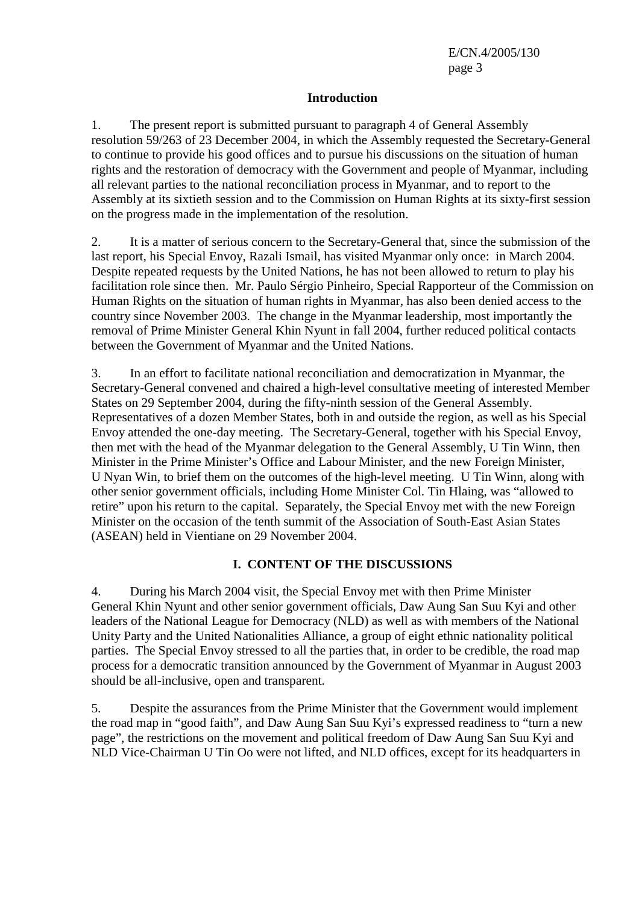### **Introduction**

1. The present report is submitted pursuant to paragraph 4 of General Assembly resolution 59/263 of 23 December 2004, in which the Assembly requested the Secretary-General to continue to provide his good offices and to pursue his discussions on the situation of human rights and the restoration of democracy with the Government and people of Myanmar, including all relevant parties to the national reconciliation process in Myanmar, and to report to the Assembly at its sixtieth session and to the Commission on Human Rights at its sixty-first session on the progress made in the implementation of the resolution.

2. It is a matter of serious concern to the Secretary-General that, since the submission of the last report, his Special Envoy, Razali Ismail, has visited Myanmar only once: in March 2004. Despite repeated requests by the United Nations, he has not been allowed to return to play his facilitation role since then. Mr. Paulo Sérgio Pinheiro, Special Rapporteur of the Commission on Human Rights on the situation of human rights in Myanmar, has also been denied access to the country since November 2003. The change in the Myanmar leadership, most importantly the removal of Prime Minister General Khin Nyunt in fall 2004, further reduced political contacts between the Government of Myanmar and the United Nations.

3. In an effort to facilitate national reconciliation and democratization in Myanmar, the Secretary-General convened and chaired a high-level consultative meeting of interested Member States on 29 September 2004, during the fifty-ninth session of the General Assembly. Representatives of a dozen Member States, both in and outside the region, as well as his Special Envoy attended the one-day meeting. The Secretary-General, together with his Special Envoy, then met with the head of the Myanmar delegation to the General Assembly, U Tin Winn, then Minister in the Prime Minister's Office and Labour Minister, and the new Foreign Minister, U Nyan Win, to brief them on the outcomes of the high-level meeting. U Tin Winn, along with other senior government officials, including Home Minister Col. Tin Hlaing, was "allowed to retire" upon his return to the capital. Separately, the Special Envoy met with the new Foreign Minister on the occasion of the tenth summit of the Association of South-East Asian States (ASEAN) held in Vientiane on 29 November 2004.

# **I. CONTENT OF THE DISCUSSIONS**

4. During his March 2004 visit, the Special Envoy met with then Prime Minister General Khin Nyunt and other senior government officials, Daw Aung San Suu Kyi and other leaders of the National League for Democracy (NLD) as well as with members of the National Unity Party and the United Nationalities Alliance, a group of eight ethnic nationality political parties. The Special Envoy stressed to all the parties that, in order to be credible, the road map process for a democratic transition announced by the Government of Myanmar in August 2003 should be all-inclusive, open and transparent.

5. Despite the assurances from the Prime Minister that the Government would implement the road map in "good faith", and Daw Aung San Suu Kyi's expressed readiness to "turn a new page", the restrictions on the movement and political freedom of Daw Aung San Suu Kyi and NLD Vice-Chairman U Tin Oo were not lifted, and NLD offices, except for its headquarters in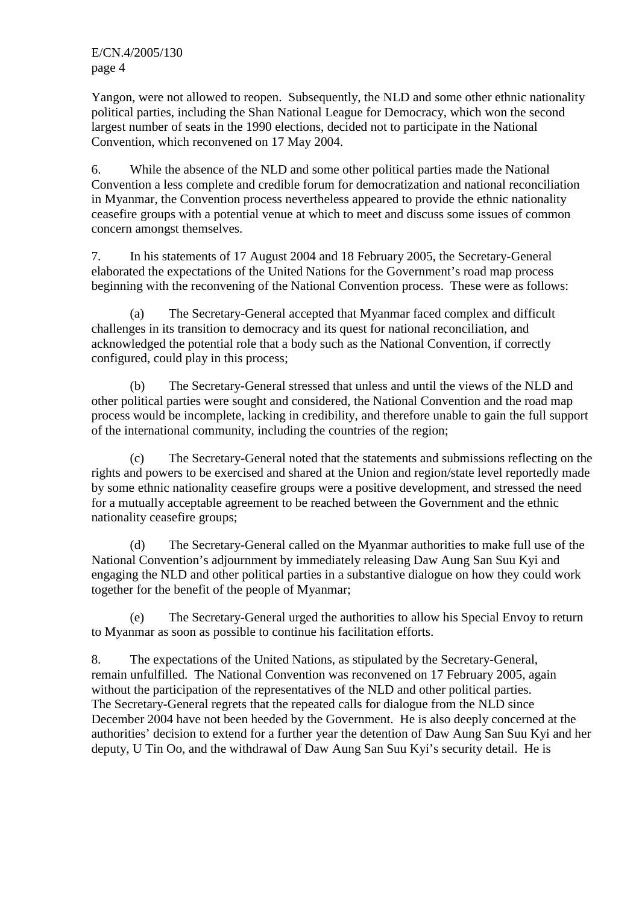E/CN.4/2005/130 page 4

Yangon, were not allowed to reopen. Subsequently, the NLD and some other ethnic nationality political parties, including the Shan National League for Democracy, which won the second largest number of seats in the 1990 elections, decided not to participate in the National Convention, which reconvened on 17 May 2004.

6. While the absence of the NLD and some other political parties made the National Convention a less complete and credible forum for democratization and national reconciliation in Myanmar, the Convention process nevertheless appeared to provide the ethnic nationality ceasefire groups with a potential venue at which to meet and discuss some issues of common concern amongst themselves.

7. In his statements of 17 August 2004 and 18 February 2005, the Secretary-General elaborated the expectations of the United Nations for the Government's road map process beginning with the reconvening of the National Convention process. These were as follows:

 (a) The Secretary-General accepted that Myanmar faced complex and difficult challenges in its transition to democracy and its quest for national reconciliation, and acknowledged the potential role that a body such as the National Convention, if correctly configured, could play in this process;

 (b) The Secretary-General stressed that unless and until the views of the NLD and other political parties were sought and considered, the National Convention and the road map process would be incomplete, lacking in credibility, and therefore unable to gain the full support of the international community, including the countries of the region;

 (c) The Secretary-General noted that the statements and submissions reflecting on the rights and powers to be exercised and shared at the Union and region/state level reportedly made by some ethnic nationality ceasefire groups were a positive development, and stressed the need for a mutually acceptable agreement to be reached between the Government and the ethnic nationality ceasefire groups;

 (d) The Secretary-General called on the Myanmar authorities to make full use of the National Convention's adjournment by immediately releasing Daw Aung San Suu Kyi and engaging the NLD and other political parties in a substantive dialogue on how they could work together for the benefit of the people of Myanmar;

 (e) The Secretary-General urged the authorities to allow his Special Envoy to return to Myanmar as soon as possible to continue his facilitation efforts.

8. The expectations of the United Nations, as stipulated by the Secretary-General, remain unfulfilled. The National Convention was reconvened on 17 February 2005, again without the participation of the representatives of the NLD and other political parties. The Secretary-General regrets that the repeated calls for dialogue from the NLD since December 2004 have not been heeded by the Government. He is also deeply concerned at the authorities' decision to extend for a further year the detention of Daw Aung San Suu Kyi and her deputy, U Tin Oo, and the withdrawal of Daw Aung San Suu Kyi's security detail. He is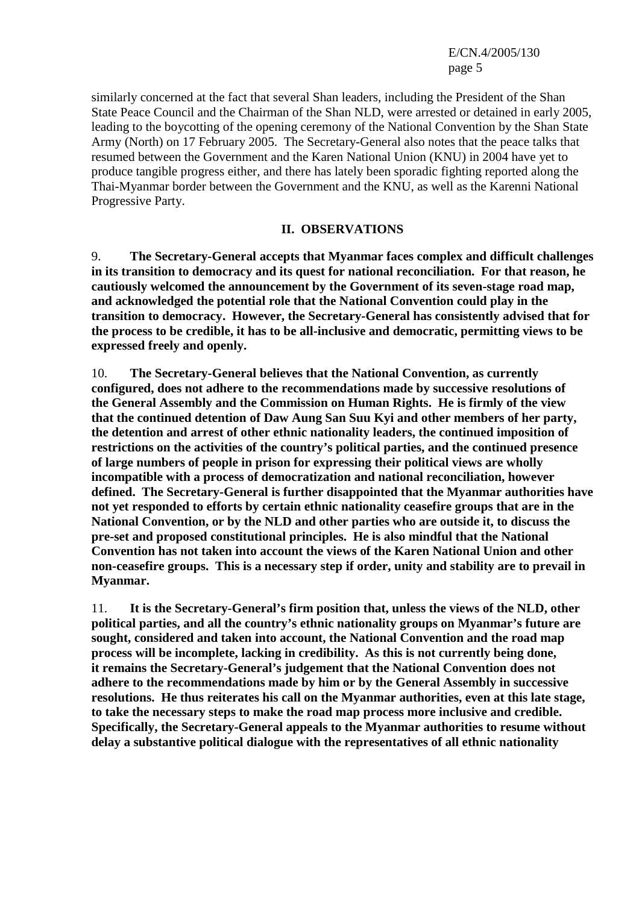E/CN.4/2005/130 page 5

similarly concerned at the fact that several Shan leaders, including the President of the Shan State Peace Council and the Chairman of the Shan NLD, were arrested or detained in early 2005, leading to the boycotting of the opening ceremony of the National Convention by the Shan State Army (North) on 17 February 2005. The Secretary-General also notes that the peace talks that resumed between the Government and the Karen National Union (KNU) in 2004 have yet to produce tangible progress either, and there has lately been sporadic fighting reported along the Thai-Myanmar border between the Government and the KNU, as well as the Karenni National Progressive Party.

#### **II. OBSERVATIONS**

9. **The Secretary-General accepts that Myanmar faces complex and difficult challenges in its transition to democracy and its quest for national reconciliation. For that reason, he cautiously welcomed the announcement by the Government of its seven-stage road map, and acknowledged the potential role that the National Convention could play in the transition to democracy. However, the Secretary-General has consistently advised that for the process to be credible, it has to be all-inclusive and democratic, permitting views to be expressed freely and openly.**

10. **The Secretary-General believes that the National Convention, as currently configured, does not adhere to the recommendations made by successive resolutions of the General Assembly and the Commission on Human Rights. He is firmly of the view that the continued detention of Daw Aung San Suu Kyi and other members of her party, the detention and arrest of other ethnic nationality leaders, the continued imposition of restrictions on the activities of the country's political parties, and the continued presence of large numbers of people in prison for expressing their political views are wholly incompatible with a process of democratization and national reconciliation, however defined. The Secretary-General is further disappointed that the Myanmar authorities have not yet responded to efforts by certain ethnic nationality ceasefire groups that are in the National Convention, or by the NLD and other parties who are outside it, to discuss the pre-set and proposed constitutional principles. He is also mindful that the National Convention has not taken into account the views of the Karen National Union and other non-ceasefire groups. This is a necessary step if order, unity and stability are to prevail in Myanmar.**

11. **It is the Secretary-General's firm position that, unless the views of the NLD, other political parties, and all the country's ethnic nationality groups on Myanmar's future are sought, considered and taken into account, the National Convention and the road map process will be incomplete, lacking in credibility. As this is not currently being done, it remains the Secretary-General's judgement that the National Convention does not adhere to the recommendations made by him or by the General Assembly in successive resolutions. He thus reiterates his call on the Myanmar authorities, even at this late stage, to take the necessary steps to make the road map process more inclusive and credible. Specifically, the Secretary-General appeals to the Myanmar authorities to resume without delay a substantive political dialogue with the representatives of all ethnic nationality**